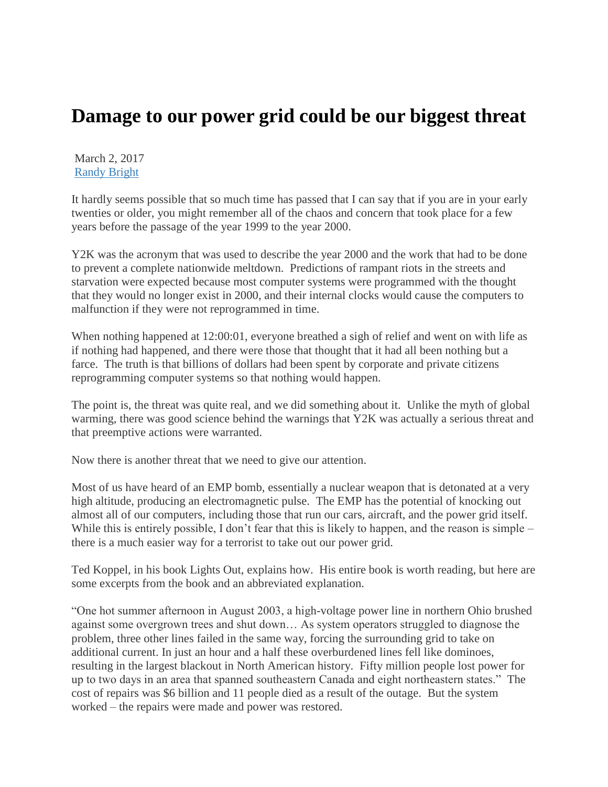## **Damage to our power grid could be our biggest threat**

March 2, 2017 [Randy Bright](http://tulsabeacon.com/author/randy-bright/)

It hardly seems possible that so much time has passed that I can say that if you are in your early twenties or older, you might remember all of the chaos and concern that took place for a few years before the passage of the year 1999 to the year 2000.

Y2K was the acronym that was used to describe the year 2000 and the work that had to be done to prevent a complete nationwide meltdown. Predictions of rampant riots in the streets and starvation were expected because most computer systems were programmed with the thought that they would no longer exist in 2000, and their internal clocks would cause the computers to malfunction if they were not reprogrammed in time.

When nothing happened at 12:00:01, everyone breathed a sigh of relief and went on with life as if nothing had happened, and there were those that thought that it had all been nothing but a farce. The truth is that billions of dollars had been spent by corporate and private citizens reprogramming computer systems so that nothing would happen.

The point is, the threat was quite real, and we did something about it. Unlike the myth of global warming, there was good science behind the warnings that Y2K was actually a serious threat and that preemptive actions were warranted.

Now there is another threat that we need to give our attention.

Most of us have heard of an EMP bomb, essentially a nuclear weapon that is detonated at a very high altitude, producing an electromagnetic pulse. The EMP has the potential of knocking out almost all of our computers, including those that run our cars, aircraft, and the power grid itself. While this is entirely possible, I don't fear that this is likely to happen, and the reason is simple – there is a much easier way for a terrorist to take out our power grid.

Ted Koppel, in his book Lights Out, explains how. His entire book is worth reading, but here are some excerpts from the book and an abbreviated explanation.

"One hot summer afternoon in August 2003, a high-voltage power line in northern Ohio brushed against some overgrown trees and shut down… As system operators struggled to diagnose the problem, three other lines failed in the same way, forcing the surrounding grid to take on additional current. In just an hour and a half these overburdened lines fell like dominoes, resulting in the largest blackout in North American history. Fifty million people lost power for up to two days in an area that spanned southeastern Canada and eight northeastern states." The cost of repairs was \$6 billion and 11 people died as a result of the outage. But the system worked – the repairs were made and power was restored.